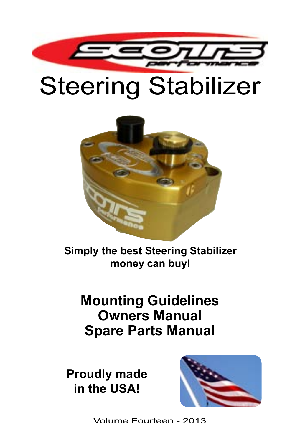

# Steering Stabilizer



**Simply the best Steering Stabilizer money can buy!**

## **Mounting Guidelines Owners Manual Spare Parts Manual**

**Proudly made in the USA!**



Volume Fourteen - 2013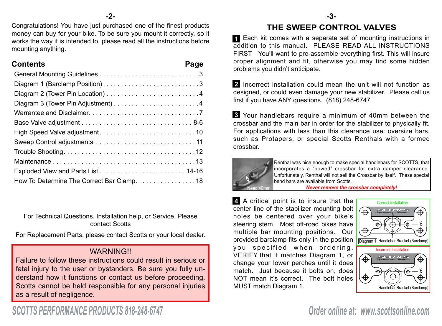#### **-2-**

Congratulations! You have just purchased one of the finest products money can buy for your bike. To be sure you mount it correctly, so it works the way it is intended to, please read all the instructions before mounting anything.

#### **Contents Page**

| Diagram 1 (Barclamp Position)3           |
|------------------------------------------|
|                                          |
|                                          |
|                                          |
|                                          |
|                                          |
|                                          |
|                                          |
|                                          |
|                                          |
| How To Determine The Correct Bar Clamp18 |

For Technical Questions, Installation help, or Service, Please contact Scotts

For Replacement Parts, please contact Scotts or your local dealer.

#### **WARNING!!**

Failure to follow these instructions could result in serious or fatal injury to the user or bystanders. Be sure you fully understand how it functions or contact us before proceeding. Scotts cannot be held responsible for any personal injuries as a result of negligence.

#### **THE SWEEP CONTROL VALVES**

Each kit comes with a separate set of mounting instructions in **1** addition to this manual. PLEASE READ ALL INSTRUCTIONS FIRST You'll want to pre-assemble everything first. This will insure proper alignment and fit, otherwise you may find some hidden problems you didn't anticipate.

2 Incorrect installation could mean the unit will not function as designed, or could even damage your new stabilizer. Please call us first if you have ANY questions. (818) 248-6747

Your handlebars require a minimum of 40mm between the **3** crossbar and the main bar in order for the stabilizer to physically fit. For applications with less than this clearance use: oversize bars, such as Protapers, or special Scotts Renthals with a formed crossbar.



Renthal was nice enough to make special handlebars for SCOTTS, that incorporates a "bowed" crossbar for extra damper clearance. Unfortunately, Renthal will not sell the Crossbar by itself. These special bend bars are available from Scotts.

**Never remove the crossbar completely!** 

A critical point is to insure that the **4** center line of the stabilizer mounting bolt holes be centered over your bike's steering stem. Most off-road bikes have multiple bar mounting positions. Our provided barclamp fits only in the position you specified when ordering. VERIFY that it matches Diagram 1, or change your lower perches until it does match. Just because it bolts on, does NOT mean it's correct. The bolt holes MUST match Diagram 1.



# *SCOTTS PERFORMANCE PRODUCTS 818-248-6747*

*Order online at: www.scottsonline.com*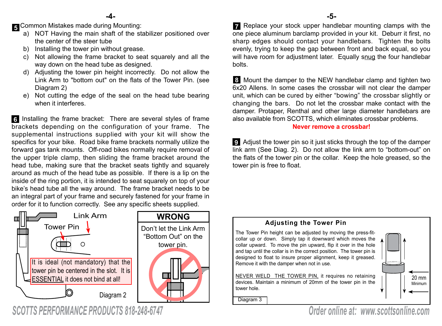Common Mistakes made during Mounting: **5**

- a) NOT Having the main shaft of the stabilizer positioned over the center of the steer tube
- b) Installing the tower pin without grease.
- c) Not allowing the frame bracket to seat squarely and all the way down on the head tube as designed.
- d) Adjusting the tower pin height incorrectly. Do not allow the Link Arm to "bottom out" on the flats of the Tower Pin. (see Diagram 2)
- e) Not cutting the edge of the seal on the head tube bearing when it interferes.

**6** Installing the frame bracket: There are several styles of frame brackets depending on the configuration of your frame. The supplemental instructions supplied with your kit will show the specifics for your bike. Road bike frame brackets normally utilize the forward gas tank mounts. Off-road bikes normally require removal of the upper triple clamp, then sliding the frame bracket around the head tube, making sure that the bracket seats tightly and squarely around as much of the head tube as possible. If there is a lip on the inside of the ring portion, it is intended to seat squarely on top of your bike's head tube all the way around. The frame bracket needs to be an integral part of your frame and securely fastened for your frame in order for it to function correctly. See any specific sheets supplied.



*SCOTTS PERFORMANCE PRODUCTS 818-248-6747*

Replace your stock upper handlebar mounting clamps with the **7** one piece aluminum barclamp provided in your kit. Deburr it first, no sharp edges should contact your handlebars. Tighten the bolts evenly, trying to keep the gap between front and back equal, so you will have room for adjustment later. Equally snug the four handlebar bolts.

Mount the damper to the NEW handlebar clamp and tighten two **8** 6x20 Allens. In some cases the crossbar will not clear the damper unit, which can be cured by either "bowing" the crossbar slightly or changing the bars. Do not let the crossbar make contact with the damper. Protaper, Renthal and other large diameter handlebars are also available from SCOTTS, which eliminates crossbar problems.

#### **Never remove a crossbar!**

Adjust the tower pin so it just sticks through the top of the damper **9** link arm (See Diag. 2). Do not allow the link arm to "bottom-out" on the flats of the tower pin or the collar. Keep the hole greased, so the tower pin is free to float.



*Order online at: www.scottsonline.com*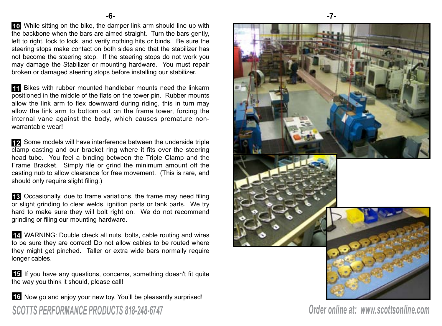While sitting on the bike, the damper link arm should line up with **10** the backbone when the bars are aimed straight. Turn the bars gently, left to right, lock to lock, and verify nothing hits or binds. Be sure the steering stops make contact on both sides and that the stabilizer has not become the steering stop. If the steering stops do not work you may damage the Stabilizer or mounting hardware. You must repair broken or damaged steering stops before installing our stabilizer.

Bikes with rubber mounted handlebar mounts need the linkarm **11** positioned in the middle of the flats on the tower pin. Rubber mounts allow the link arm to flex downward during riding, this in turn may allow the link arm to bottom out on the frame tower, forcing the internal vane against the body, which causes premature nonwarrantable wear!

Some models will have interference between the underside triple **12** clamp casting and our bracket ring where it fits over the steering head tube. You feel a binding between the Triple Clamp and the Frame Bracket. Simply file or grind the minimum amount off the casting nub to allow clearance for free movement. (This is rare, and should only require slight filing.)

**13** Occasionally, due to frame variations, the frame may need filing or slight grinding to clear welds, ignition parts or tank parts. We try hard to make sure they will bolt right on. We do not recommend grinding or filing our mounting hardware.

WARNING: Double check all nuts, bolts, cable routing and wires **14** to be sure they are correct! Do not allow cables to be routed where they might get pinched. Taller or extra wide bars normally require longer cables.

**15** If you have any questions, concerns, something doesn't fit quite the way you think it should, please call!

**16** Now go and enjoy your new toy. You'll be pleasantly surprised! *SCOTTS PERFORMANCE PRODUCTS 818-248-6747 Order online at: www.scottsonline.com*

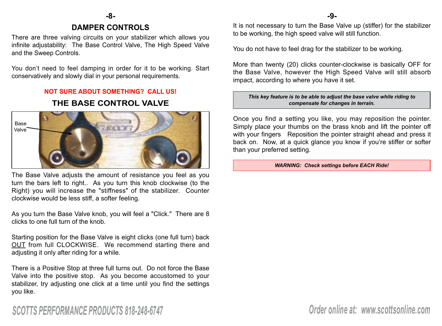#### **DAMPER CONTROLS -8- -9-**

There are three valving circuits on your stabilizer which allows you infinite adjustability: The Base Control Valve, The High Speed Valve and the Sweep Controls.

You don't need to feel damping in order for it to be working. Start conservatively and slowly dial in your personal requirements.

#### **NOT SURE ABOUT SOMETHING? CALL US!**

#### **THE BASE CONTROL VALVE**



The Base Valve adjusts the amount of resistance you feel as you turn the bars left to right.. As you turn this knob clockwise (to the Right) you will increase the "stiffness" of the stabilizer. Counter clockwise would be less stiff, a softer feeling.

As you turn the Base Valve knob, you will feel a "Click." There are 8 clicks to one full turn of the knob.

Starting position for the Base Valve is eight clicks (one full turn) back OUT from full CLOCKWISE. We recommend starting there and adjusting it only after riding for a while.

There is a Positive Stop at three full turns out. Do not force the Base Valve into the positive stop. As you become accustomed to your stabilizer, try adjusting one click at a time until you find the settings you like.

It is not necessary to turn the Base Valve up (stiffer) for the stabilizer to be working, the high speed valve will still function.

You do not have to feel drag for the stabilizer to be working.

More than twenty (20) clicks counter-clockwise is basically OFF for the Base Valve, however the High Speed Valve will still absorb impact, according to where you have it set.

#### *This key feature is to be able to adjust the base valve while riding to compensate for changes in terrain.*

Once you find a setting you like, you may reposition the pointer. Simply place your thumbs on the brass knob and lift the pointer off with your fingers Reposition the pointer straight ahead and press it back on. Now, at a quick glance you know if you're stiffer or softer than your preferred setting.

*WARNING: Check settings before EACH Ride!*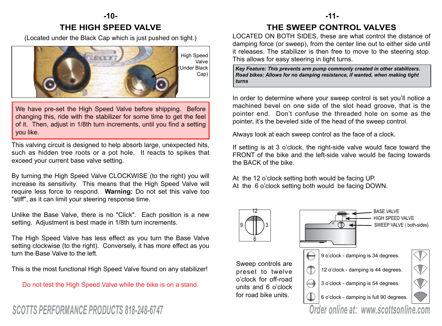#### **-10- -11- THE HIGH SPEED VALVE**

(Located under the Black Cap which is just pushed on tight.)



We have pre-set the High Speed Valve before shipping. Before changing this, ride with the stabilizer for some time to get the feel of it. Then, adjust in 1/8th turn increments, until you find a setting you like.

This valving circuit is designed to help absorb large, unexpected hits, such as hidden tree roots or a pot hole. It reacts to spikes that exceed your current base valve setting.

By turning the High Speed Valve CLOCKWISE (to the right) you will increase its sensitivity. This means that the High Speed Valve will require less force to respond. **Warning:** Do not set this valve too "stiff", as it can limit your steering response time.

Unlike the Base Valve, there is no "Click". Each position is a new setting. Adjustment is best made in 1/8th turn increments.

The High Speed Valve has less effect as you turn the Base Valve setting clockwise (to the right). Conversely, it has more effect as you turn the Base Valve to the left.

This is the most functional High Speed Valve found on any stabilizer!

Do not test the High Speed Valve while the bike is on a stand.

#### **THE SWEEP CONTROL VALVES**

LOCATED ON BOTH SIDES, these are what control the distance of damping force (or sweep), from the center line out to either side until it releases. The stabilizer is then free to move to the steering stop. This allows for easy steering in tight turns.

*Key Feature: This prevents arm pump commonly created in other stabilizers. Road bikes: Allows for no damping resistance, if wanted, when making tight turns* 

In order to determine where your sweep control is set you'll notice a machined bevel on one side of the slot head groove, that is the pointer end. Don't confuse the threaded hole on some as the pointer, it's the beveled side of the head of the sweep control.

Always look at each sweep control as the face of a clock.

If setting is at 3 o'clock, the right-side valve would face toward the FRONT of the bike and the left-side valve would be facing towards the BACK of the bike.

At the 12 o'clock setting both would be facing UP. At the 6 o'clock setting both would be facing DOWN.

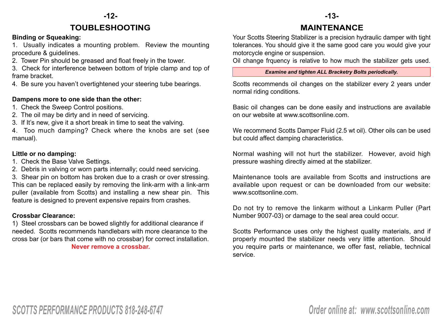### **-12- -13- TOUBLESHOOTING MAINTENANCE**

#### **Binding or Squeaking:**

1. Usually indicates a mounting problem. Review the mounting procedure & guidelines.

2. Tower Pin should be greased and float freely in the tower.

3. Check for interference between bottom of triple clamp and top of frame bracket.

4. Be sure you haven't overtightened your steering tube bearings.

#### **Dampens more to one side than the other:**

- 1. Check the Sweep Control positions.
- 2. The oil may be dirty and in need of servicing.
- 3. If It's new, give it a short break in time to seat the valving.

4. Too much damping? Check where the knobs are set (see manual).

#### **Little or no damping:**

- 1. Check the Base Valve Settings.
- 2. Debris in valving or worn parts internally; could need servicing.

3. Shear pin on bottom has broken due to a crash or over stressing. This can be replaced easily by removing the link-arm with a link-arm puller (available from Scotts) and installing a new shear pin. This feature is designed to prevent expensive repairs from crashes.

#### **Crossbar Clearance:**

1) Steel crossbars can be bowed slightly for additional clearance if needed. Scotts recommends handlebars with more clearance to the cross bar (or bars that come with no crossbar) for correct installation. **Never remove a crossbar.**

Your Scotts Steering Stabilizer is a precision hydraulic damper with tight tolerances. You should give it the same good care you would give your motorcycle engine or suspension.

Oil change frquency is relative to how much the stabilizer gets used.

#### *Examine and tighten ALL Bracketry Bolts periodically.*

Scotts recommends oil changes on the stabilizer every 2 years under normal riding conditions.

Basic oil changes can be done easily and instructions are available on our website at www.scottsonline.com.

We recommend Scotts Damper Fluid (2.5 wt oil). Other oils can be used but could affect damping characteristics.

Normal washing will not hurt the stabilizer. However, avoid high pressure washing directly aimed at the stabilizer.

Maintenance tools are available from Scotts and instructions are available upon request or can be downloaded from our website: www.scottsonline.com.

Do not try to remove the linkarm without a Linkarm Puller (Part Number 9007-03) or damage to the seal area could occur.

Scotts Performance uses only the highest quality materials, and if properly mounted the stabilizer needs very little attention. Should you require parts or maintenance, we offer fast, reliable, technical service.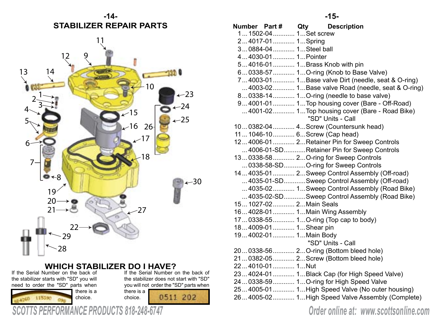

# **WHICH STABILIZER DO I HAVE?**<br>lumber on the back of<br>If the Serial Number on the back of

If the Serial Number on the back of the stabilizer starts with "SD" you will need to order the "SD" parts when

115396

there is a choice.

the stabilizer does not start with "SD" you will not order the "SD" parts when there is a 0511 202 choice.

|                         | Number Part# Qty Description                                       |
|-------------------------|--------------------------------------------------------------------|
| 1 1502-04 1Set screw    |                                                                    |
| 24017-01 1Spring        |                                                                    |
| 30884-04 1Steel ball    |                                                                    |
| 44030-01 1Pointer       |                                                                    |
|                         | 54016-01 1Brass Knob with pin                                      |
|                         | 60338-57 1O-ring (Knob to Base Valve)                              |
|                         | 74003-01 1Base valve Dirt (needle, seat & O-ring)                  |
|                         | 4003-02 1Base valve Road (needle, seat & O-ring)                   |
|                         | 80338-14 1O-ring (needle to base valve)                            |
|                         | 94001-01 1Top housing cover (Bare - Off-Road)                      |
|                         | 4001-02 1Top housing cover (Bare - Road Bike)<br>"SD" Units - Call |
|                         | 100382-04 4Screw (Countersunk head)                                |
|                         | 11 1046-10 6 Screw (Cap head)                                      |
|                         | 124006-01 2Retainer Pin for Sweep Controls                         |
|                         | 4006-01-SDRetainer Pin for Sweep Controls                          |
|                         | 130338-58 2 O-ring for Sweep Controls                              |
|                         | 0338-58-SDO-ring for Sweep Controls                                |
|                         | 144035-01 2Sweep Control Assembly (Off-road)                       |
|                         | 4035-01-SDSweep Control Assembly (Off-road)                        |
|                         | 4035-02 1Sweep Control Assembly (Road Bike)                        |
|                         | 4035-02-SDSweep Control Assembly (Road Bike)                       |
| 15 1027-02 2 Main Seals |                                                                    |
|                         | 164028-01 1Main Wing Assembly                                      |
|                         | 170338-55 1O-ring (Top cap to body)                                |
| 184009-01 1Shear pin    |                                                                    |
| 194002-01 1Main Body    |                                                                    |
|                         | "SD" Units - Call                                                  |
|                         | 200338-56 2O-ring (Bottom bleed hole)                              |
|                         | 210382-05 2Screw (Bottom bleed hole)                               |
| 224010-01 1Nut          |                                                                    |
|                         | 234024-01 1Black Cap (for High Speed Valve)                        |
|                         | 240338-59 1 O-ring for High Speed Valve                            |
|                         | 254005-01 1High Speed Valve (No outer housing)                     |
|                         | 264005-02 1High Speed Valve Assembly (Complete)                    |

*SCOTTS PERFORMANCE PRODUCTS 818-248-6747 Order online at: www.scottsonline.com*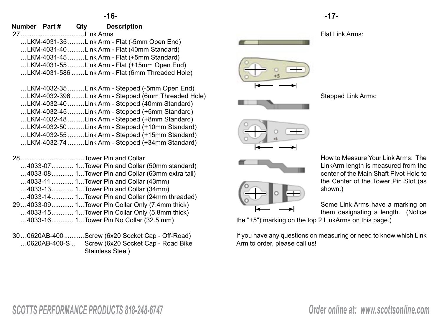|               |     | -16-                                                                                                                                                                                                                                               |  | -17-                               |
|---------------|-----|----------------------------------------------------------------------------------------------------------------------------------------------------------------------------------------------------------------------------------------------------|--|------------------------------------|
| Number Part # | Qty | <b>Description</b>                                                                                                                                                                                                                                 |  | Flat Li                            |
|               |     | LKM-4031-35  Link Arm - Flat (-5mm Open End)<br>LKM-4031-40  Link Arm - Flat (40mm Standard)<br>LKM-4031-45  Link Arm - Flat (+5mm Standard)<br>LKM-4031-55  Link Arm - Flat (+15mm Open End)<br>LKM-4031-586  Link Arm - Flat (6mm Threaded Hole) |  |                                    |
|               |     | LKM-4032-35  Link Arm - Stepped (-5mm Open End)<br>LKM-4032-396  Link Arm - Stepped (6mm Threaded Hole)<br>LKM-4032-40  Link Arm - Stepped (40mm Standard)<br>LKM-4032-45  Link Arm - Stepped $(+5$ mm Standard)                                   |  | Stepp                              |
|               |     | LKM-4032-48  Link Arm - Stepped $(+8$ mm Standard)<br>LKM-4032-50  Link Arm - Stepped (+10mm Standard)<br>LKM-4032-55  Link Arm - Stepped $(+15$ mm Standard)<br>LKM-4032-74  Link Arm - Stepped $(+34$ mm Standard)                               |  |                                    |
|               |     | 4033-07 1Tower Pin and Collar (50mm standard)<br>4033-08 1Tower Pin and Collar (63mm extra tall)<br>4033-11  1Tower Pin and Collar (43mm)                                                                                                          |  | How to<br>LinkA<br>center<br>the C |

- ... 4033-13............ 1...Tower Pin and Collar (34mm) ... 4033-14............ 1...Tower Pin and Collar (24mm threaded) 29... 4033-09............ 1...Tower Pin Collar Only (7.4mm thick) ... 4033-15............ 1...Tower Pin Collar Only (5.8mm thick) ... 4033-16............ 1...Tower Pin No Collar (32.5 mm)
- 30... 0620AB-400...........Screw (6x20 Socket Cap Off-Road) ... 0620AB-400-S .. Screw (6x20 Socket Cap - Road Bike Stainless Steel)

Flat Link Arms:



Stepped Link Arms:





How to Measure Your Link Arms: The LinkArm length is measured from the center of the Main Shaft Pivot Hole to the Center of the Tower Pin Slot (as shown.)

Some Link Arms have a marking on them designating a length. (Notice

the "+5") marking on the top 2 LinkArms on this page.)

If you have any questions on measuring or need to know which Link Arm to order, please call us!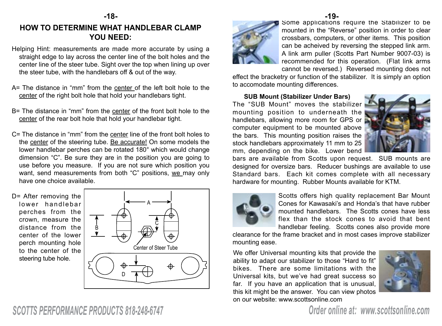### **HOW TO DETERMINE WHAT HANDLEBAR CLAMP YOU NEED:**

- Helping Hint: measurements are made more accurate by using a straight edge to lay across the center line of the bolt holes and the center line of the steer tube. Sight over the top when lining up over the steer tube, with the handlebars off & out of the way.
- A= The distance in "mm" from the center of the left bolt hole to the center of the right bolt hole that hold your handlebars tight.
- B= The distance in "mm" from the center of the front bolt hole to the center of the rear bolt hole that hold your handlebar tight.
- C= The distance in "mm" from the center line of the front bolt holes to the center of the steering tube. Be accurate! On some models the lower handlebar perches can be rotated 180° which would change dimension "C". Be sure they are in the position you are going to use before you measure. If you are not sure which position you want, send measurements from both "C" positions, we may only have one choice available.

D= After removing the lower handlebar perches from the crown, measure the distance from the center of the lower perch mounting hole to the center of the steering tube hole.





Some applications require the Stabilizer to be mounted in the "Reverse" position in order to clear crossbars, computers, or other items. This position can be acheived by reversing the stepped link arm. A link arm puller (Scotts Part Number 9007-03) is recommended for this operation. (Flat link arms cannot be reversed.) Reversed mounting does not **-18- -19-**

> effect the bracketry or function of the stabilizer. It is simply an option to accomodate mounting differences.

**SUB Mount (Stabilizer Under Bars)** The "SUB Mount" moves the stabilizer mounting position to underneath the handlebars, allowing more room for GPS or computer equipment to be mounted above the bars. This mounting position raises the stock handlebars approximately 11 mm to 25 mm, depending on the bike. Lower bend



bars are available from Scotts upon request. SUB mounts are designed for oversize bars. Reducer bushings are available to use Standard bars. Each kit comes complete with all necessary hardware for mounting. Rubber Mounts available for KTM.



Scotts offers high quality replacement Bar Mount Cones for Kawasaki's and Honda's that have rubber mounted handlebars. The Scotts cones have less flex than the stock cones to avoid that bent handlebar feeling. Scotts cones also provide more

clearance for the frame bracket and in most cases improve stabilizer mounting ease.

We offer Universal mounting kits that provide the ability to adapt our stabilizer to those "Hard to fit" bikes. There are some limitations with the Universal kits, but we've had great success so far. If you have an application that is unusual, this kit might be the answer. You can view photos on our website: www.scottsonline.com



# *SCOTTS PERFORMANCE PRODUCTS 818-248-6747 Order online at: www.scottsonline.com*